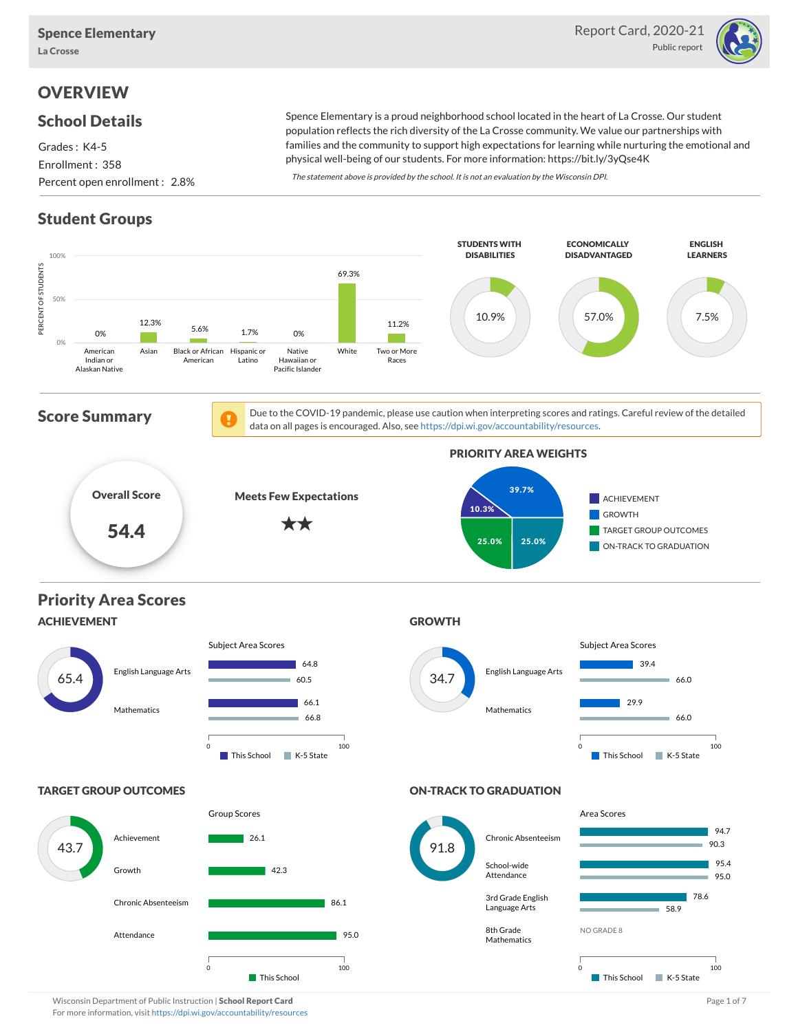

# **OVERVIEW**

### School Details

Grades : K4-5 Enrollment : 358 Percent open enrollment : 2.8%

Spence Elementary is a proud neighborhood school located in the heart of La Crosse. Our student population reflects the rich diversity of the La Crosse community. We value our partnerships with families and the community to support high expectations for learning while nurturing the emotional and physical well-being of our students. For more information: https://bit.ly/3yQse4K

The statement above is provided by the school. It is not an evaluation by the Wisconsin DPI.

# Student Groups



Wisconsin Department of Public Instruction | School Report Card Page 1 of 7 and 2008 and 2008 and Page 1 of 7 For more information, visit <https://dpi.wi.gov/accountability/resources>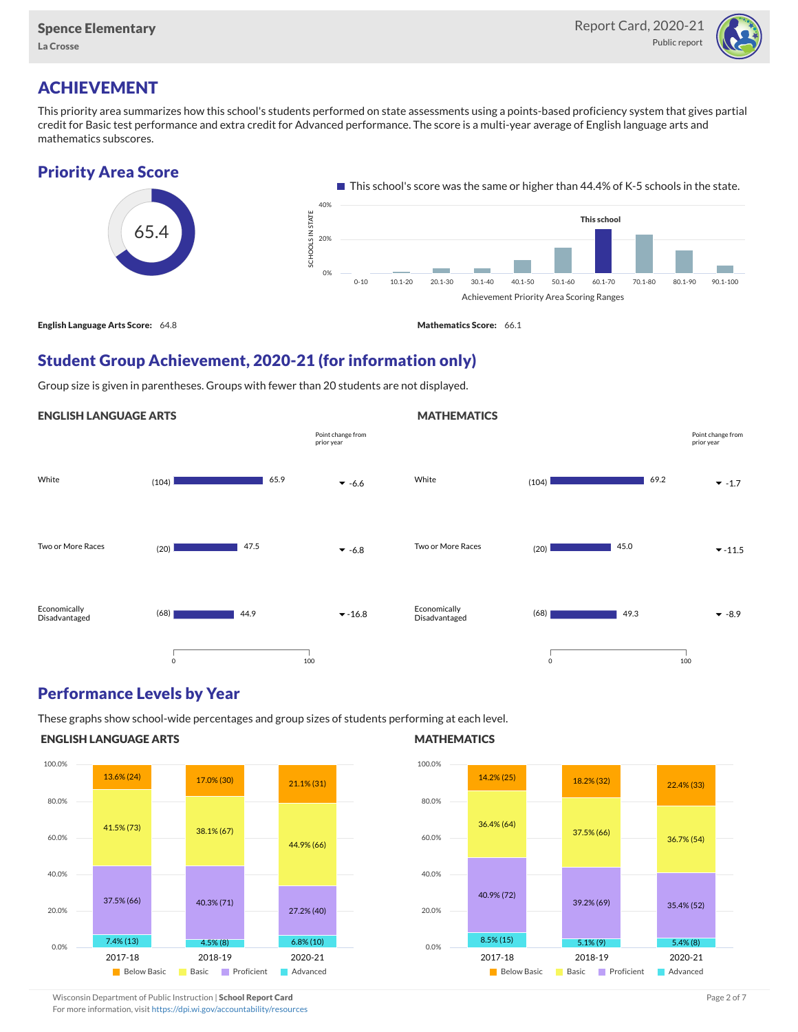

# ACHIEVEMENT

This priority area summarizes how this school's students performed on state assessments using a points-based proficiency system that gives partial credit for Basic test performance and extra credit for Advanced performance. The score is a multi-year average of English language arts and mathematics subscores.

### Priority Area Score



### Student Group Achievement, 2020-21 (for information only)

Group size is given in parentheses. Groups with fewer than 20 students are not displayed.

#### ENGLISH LANGUAGE ARTS



### Performance Levels by Year

These graphs show school-wide percentages and group sizes of students performing at each level.

#### ENGLISH LANGUAGE ARTS



#### **MATHEMATICS**

**MATHEMATICS** 



Wisconsin Department of Public Instruction | School Report Card Page 2 of 7 and 2008 and 2009 and 2 of 7 and 2 of 7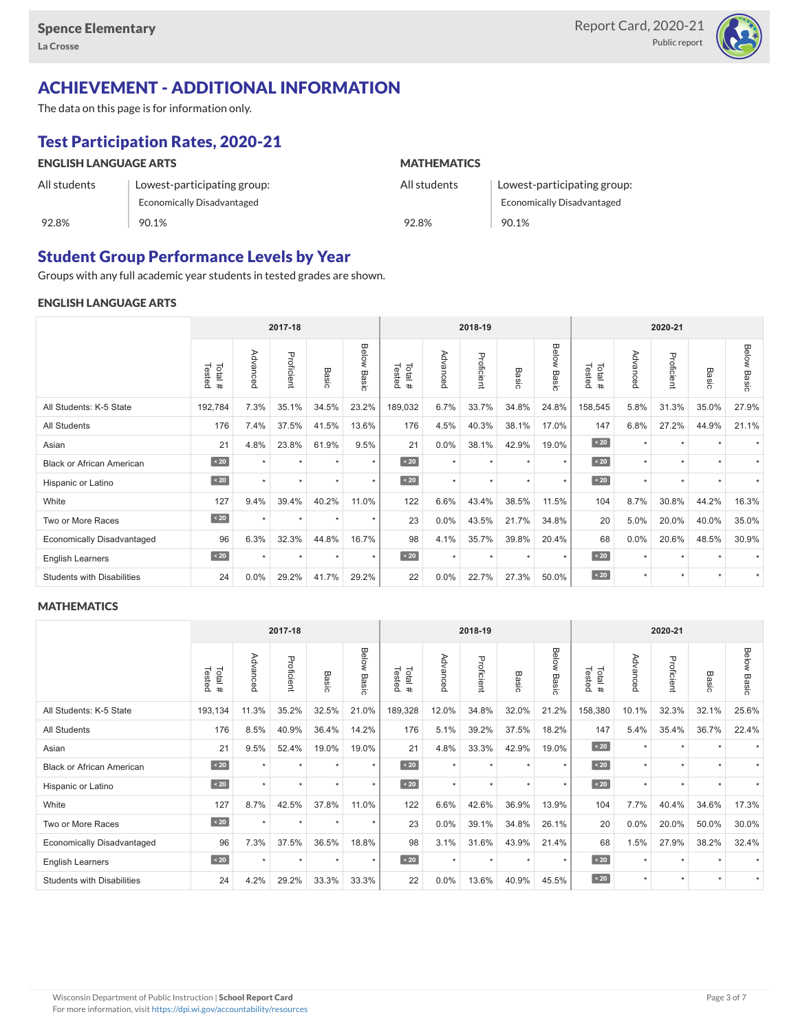

# ACHIEVEMENT - ADDITIONAL INFORMATION

The data on this page is for information only.

# Test Participation Rates, 2020-21

| <b>ENGLISH LANGUAGE ARTS</b> |                             | <b>MATHEMATICS</b> |                             |  |  |  |  |
|------------------------------|-----------------------------|--------------------|-----------------------------|--|--|--|--|
| All students                 | Lowest-participating group: | All students       | Lowest-participating group: |  |  |  |  |
|                              | Economically Disadvantaged  |                    | Economically Disadvantaged  |  |  |  |  |
| 92.8%                        | 90.1%                       | 92.8%              | 90.1%                       |  |  |  |  |

### Student Group Performance Levels by Year

Groups with any full academic year students in tested grades are shown.

#### ENGLISH LANGUAGE ARTS

|                                   | 2017-18          |           |            |         |                |                  | 2018-19  |            |                 |                | 2020-21          |          |            |         |                    |
|-----------------------------------|------------------|-----------|------------|---------|----------------|------------------|----------|------------|-----------------|----------------|------------------|----------|------------|---------|--------------------|
|                                   | Tested<br>Total# | Advanced  | Proficient | Basic   | Below<br>Basic | Tested<br>Total# | Advanced | Proficient | Basi<br>$\circ$ | Below<br>Basic | Tested<br>Total# | Advanced | Proficient | Basic   | <b>Below Basic</b> |
| All Students: K-5 State           | 192,784          | 7.3%      | 35.1%      | 34.5%   | 23.2%          | 189,032          | 6.7%     | 33.7%      | 34.8%           | 24.8%          | 158,545          | 5.8%     | 31.3%      | 35.0%   | 27.9%              |
| All Students                      | 176              | 7.4%      | 37.5%      | 41.5%   | 13.6%          | 176              | 4.5%     | 40.3%      | 38.1%           | 17.0%          | 147              | 6.8%     | 27.2%      | 44.9%   | 21.1%              |
| Asian                             | 21               | 4.8%      | 23.8%      | 61.9%   | 9.5%           | 21               | 0.0%     | 38.1%      | 42.9%           | 19.0%          | $\sim 20$        | $\star$  | ٠          |         |                    |
| <b>Black or African American</b>  | $\sim 20$        |           | $\star$    |         | $\star$        | $\sim 20$        | $\star$  | $\star$    |                 | $\star$        | $\sim 20$        | $\star$  | $\star$    |         |                    |
| Hispanic or Latino                | $\sim 20$        | $\star$   | $\star$    | $\star$ | $\star$        | $\sim 20$        | $\star$  | $\star$    |                 | $\star$        | $\angle 20$      | $\star$  | $\star$    |         |                    |
| White                             | 127              | 9.4%      | 39.4%      | 40.2%   | 11.0%          | 122              | 6.6%     | 43.4%      | 38.5%           | 11.5%          | 104              | 8.7%     | 30.8%      | 44.2%   | 16.3%              |
| Two or More Races                 | $\sim 20$        | $\star$   | $\star$    | $\star$ | $\star$        | 23               | 0.0%     | 43.5%      | 21.7%           | 34.8%          | 20               | 5.0%     | 20.0%      | 40.0%   | 35.0%              |
| <b>Economically Disadvantaged</b> | 96               | 6.3%      | 32.3%      | 44.8%   | 16.7%          | 98               | 4.1%     | 35.7%      | 39.8%           | 20.4%          | 68               | 0.0%     | 20.6%      | 48.5%   | 30.9%              |
| <b>English Learners</b>           | $\sim 20$        | $\ddot{}$ | $\star$    | ٠       | $\star$        | $\sim 20$        | $\star$  | $\star$    | $\ddot{}$       | $\star$        | $\sim 20$        | $\star$  | $\star$    |         |                    |
| <b>Students with Disabilities</b> | 24               | 0.0%      | 29.2%      | 41.7%   | 29.2%          | 22               | 0.0%     | 22.7%      | 27.3%           | 50.0%          | $\angle 20$      | $\star$  | $\star$    | $\star$ |                    |

#### **MATHEMATICS**

|                                   | 2017-18          |           |            |         |                |                  |          | 2018-19    |         |                | 2020-21          |          |            |           |                    |
|-----------------------------------|------------------|-----------|------------|---------|----------------|------------------|----------|------------|---------|----------------|------------------|----------|------------|-----------|--------------------|
|                                   | Total#<br>Tested | Advanced  | Proficient | Basic   | Below<br>Basic | Tested<br>Total# | Advancec | Proficient | Basic   | Below<br>Basic | Tested<br>Total# | Advanced | Proficient | Basic     | <b>Below Basic</b> |
| All Students: K-5 State           | 193,134          | 11.3%     | 35.2%      | 32.5%   | 21.0%          | 189,328          | 12.0%    | 34.8%      | 32.0%   | 21.2%          | 158,380          | 10.1%    | 32.3%      | 32.1%     | 25.6%              |
| All Students                      | 176              | 8.5%      | 40.9%      | 36.4%   | 14.2%          | 176              | 5.1%     | 39.2%      | 37.5%   | 18.2%          | 147              | 5.4%     | 35.4%      | 36.7%     | 22.4%              |
| Asian                             | 21               | 9.5%      | 52.4%      | 19.0%   | 19.0%          | 21               | 4.8%     | 33.3%      | 42.9%   | 19.0%          | $\angle 20$      | $\star$  | ٠          |           |                    |
| <b>Black or African American</b>  | $\sim 20$        | $\star$   | $\star$    | $\star$ | $\star$        | $\angle 20$      | $\star$  | $\star$    |         | $\star$        | $\sim 20$        | $\star$  | $\star$    |           |                    |
| Hispanic or Latino                | $\sim 20$        |           | $\star$    | $\star$ | $\star$        | $\angle 20$      | $\star$  | $\star$    |         | $\star$        | $\sim 20$        | $\star$  | $\star$    |           |                    |
| White                             | 127              | 8.7%      | 42.5%      | 37.8%   | 11.0%          | 122              | 6.6%     | 42.6%      | 36.9%   | 13.9%          | 104              | 7.7%     | 40.4%      | 34.6%     | 17.3%              |
| Two or More Races                 | $\sim 20$        | $\star$   | $\star$    | $\star$ | $\star$        | 23               | 0.0%     | 39.1%      | 34.8%   | 26.1%          | 20               | 0.0%     | 20.0%      | 50.0%     | 30.0%              |
| <b>Economically Disadvantaged</b> | 96               | 7.3%      | 37.5%      | 36.5%   | 18.8%          | 98               | 3.1%     | 31.6%      | 43.9%   | 21.4%          | 68               | 1.5%     | 27.9%      | 38.2%     | 32.4%              |
| <b>English Learners</b>           | $\sim 20$        | $\ddot{}$ | $\star$    | $\star$ | $^\star$       | $\sim 20$        | $\star$  | $\star$    | $\star$ | $\star$        | $\sim 20$        | $\star$  | $\star$    |           |                    |
| <b>Students with Disabilities</b> | 24               | 4.2%      | 29.2%      | 33.3%   | 33.3%          | 22               | 0.0%     | 13.6%      | 40.9%   | 45.5%          | $\angle 20$      | $\star$  | $\star$    | $\ddot{}$ |                    |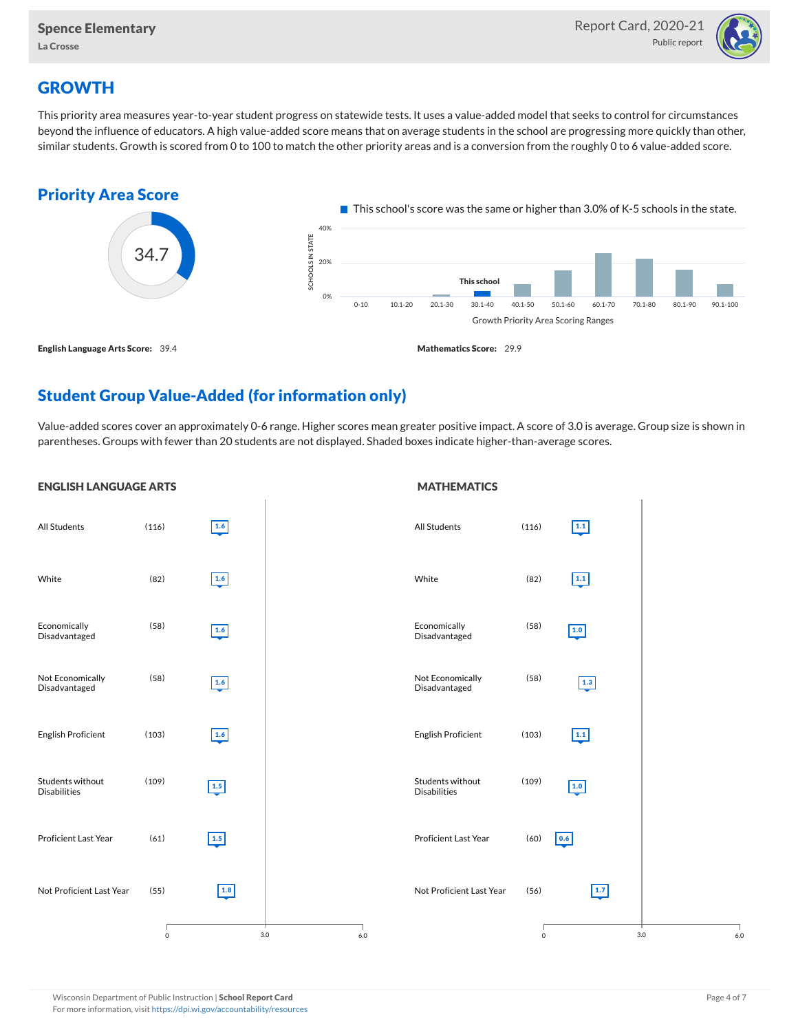

### **GROWTH**

This priority area measures year-to-year student progress on statewide tests. It uses a value-added model that seeks to control for circumstances beyond the influence of educators. A high value-added score means that on average students in the school are progressing more quickly than other, similar students. Growth is scored from 0 to 100 to match the other priority areas and is a conversion from the roughly 0 to 6 value-added score.



### Student Group Value-Added (for information only)

Value-added scores cover an approximately 0-6 range. Higher scores mean greater positive impact. A score of 3.0 is average. Group size is shown in parentheses. Groups with fewer than 20 students are not displayed. Shaded boxes indicate higher-than-average scores.

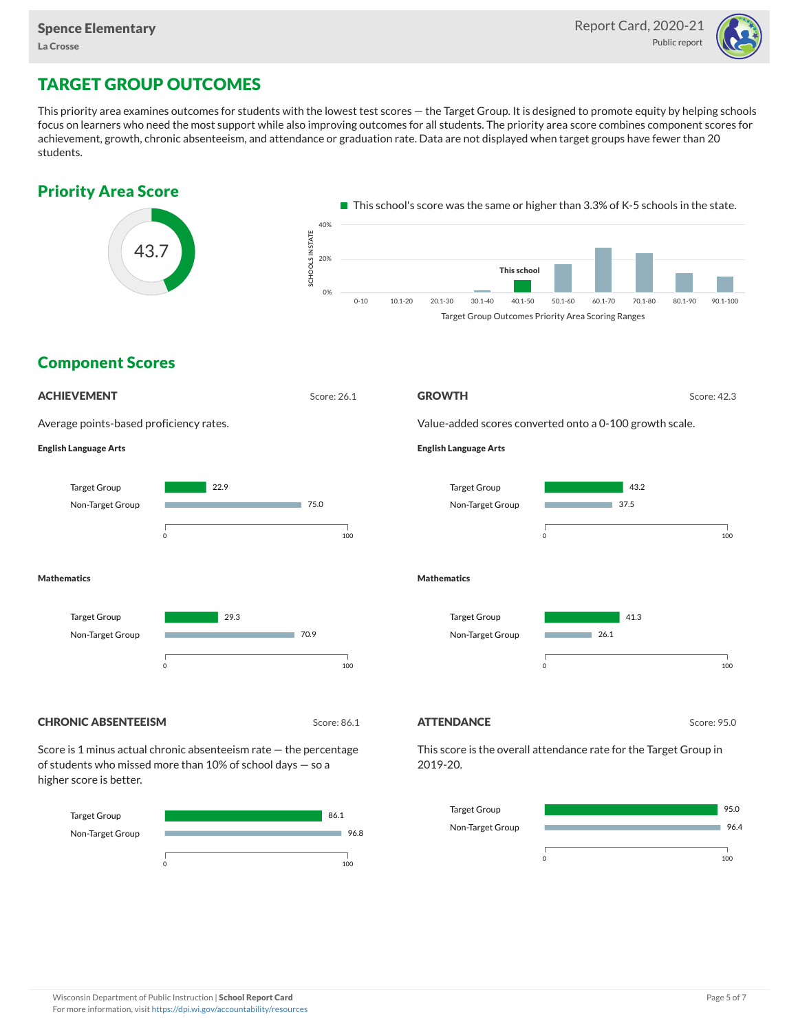

## TARGET GROUP OUTCOMES

This priority area examines outcomes for students with the lowest test scores — the Target Group. It is designed to promote equity by helping schools focus on learners who need the most support while also improving outcomes for all students. The priority area score combines component scores for achievement, growth, chronic absenteeism, and attendance or graduation rate. Data are not displayed when target groups have fewer than 20 students.





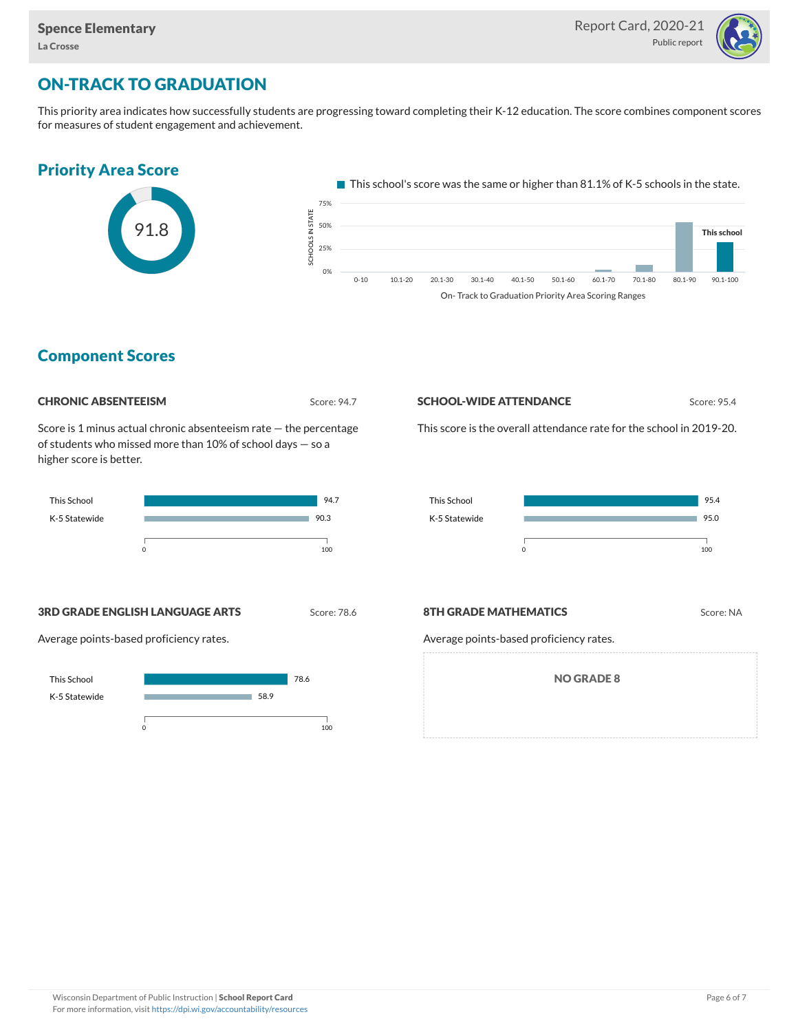

# ON-TRACK TO GRADUATION

This priority area indicates how successfully students are progressing toward completing their K-12 education. The score combines component scores for measures of student engagement and achievement.







### Component Scores

| <b>CHRONIC ABSENTEEISM</b> |
|----------------------------|
|                            |

Score: 94.7

Score is 1 minus actual chronic absenteeism rate — the percentage of students who missed more than 10% of school days — so a higher score is better.



#### **SCHOOL-WIDE ATTENDANCE** Score: 95.4

This score is the overall attendance rate for the school in 2019-20.



**3RD GRADE ENGLISH LANGUAGE ARTS** Score: 78.6

Average points-based proficiency rates.



#### **8TH GRADE MATHEMATICS** Score: NA

Average points-based proficiency rates.

NO GRADE 8